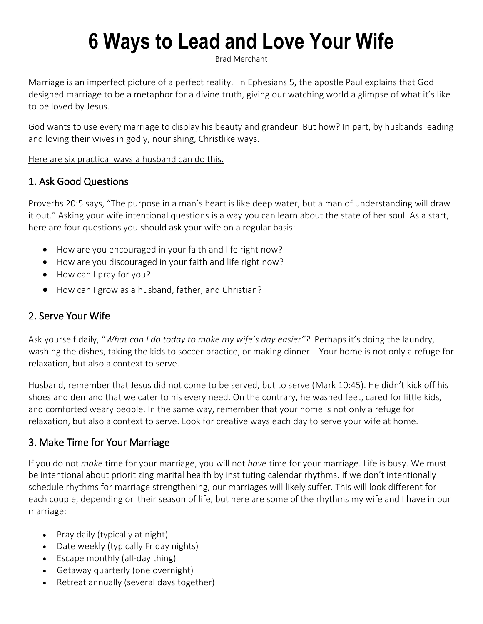# **6 Ways to Lead and Love Your Wife**

[Brad Merchant](https://www.thegospelcoalition.org/profile/brad-merchant/) 

Marriage is an imperfect picture of a perfect reality. In [Ephesians 5,](https://www.esv.org/Ephesians%205/) the apostle Paul explains that God designed marriage to be a metaphor for a divine truth, giving our watching world a glimpse of what it's like to be loved by Jesus.

God wants to use every marriage to display his beauty and grandeur. But how? In part, by husbands leading and loving their wives in godly, nourishing, Christlike ways.

Here are six practical ways a husband can do this.

## 1. Ask Good Questions

[Proverbs 20:5](https://www.esv.org/Proverbs%2020%3A5/) says, "The purpose in a man's heart is like deep water, but a man of understanding will draw it out." [Asking your wife intentional questions](https://bradmerchantblog.com/four-qs-every-husband-should-ask-his-wife/) is a way you can learn about the state of her soul. As a start, here are four questions you should ask your wife on a regular basis:

- How are you encouraged in your faith and life right now?
- How are you discouraged in your faith and life right now?
- How can I pray for you?
- How can I grow as a husband, father, and Christian?

# 2. Serve Your Wife

Ask yourself daily, "*What can I do today to make my wife's day easier"?* Perhaps it's doing the laundry, washing the dishes, taking the kids to soccer practice, or making dinner. Your home is not only a refuge for relaxation, but also a context to serve.

Husband, remember that Jesus did not come to be served, but to serve [\(Mark 10:45](https://www.esv.org/Mark%2010%3A45/)). He didn't kick off his shoes and demand that we cater to his every need. On the contrary, he washed feet, cared for little kids, and comforted weary people. In the same way, remember that your home is not only a refuge for relaxation, but also a context to serve. Look for creative ways each day to serve your wife at home.

#### 3. Make Time for Your Marriage

If you do not *make* time for your marriage, you will not *have* time for your marriage. Life is busy. We must be intentional about [prioritizing marital health by instituting calendar rhythms.](https://cpcresources.net/equip-42-practical-marriage/) If we don't intentionally schedule rhythms for marriage strengthening, our marriages will likely suffer. This will look different for each couple, depending on their season of life, but here are some of the rhythms my wife and I have in our marriage:

- Pray daily (typically at night)
- Date weekly (typically Friday nights)
- Escape monthly (all-day thing)
- Getaway quarterly (one overnight)
- Retreat annually (several days together)